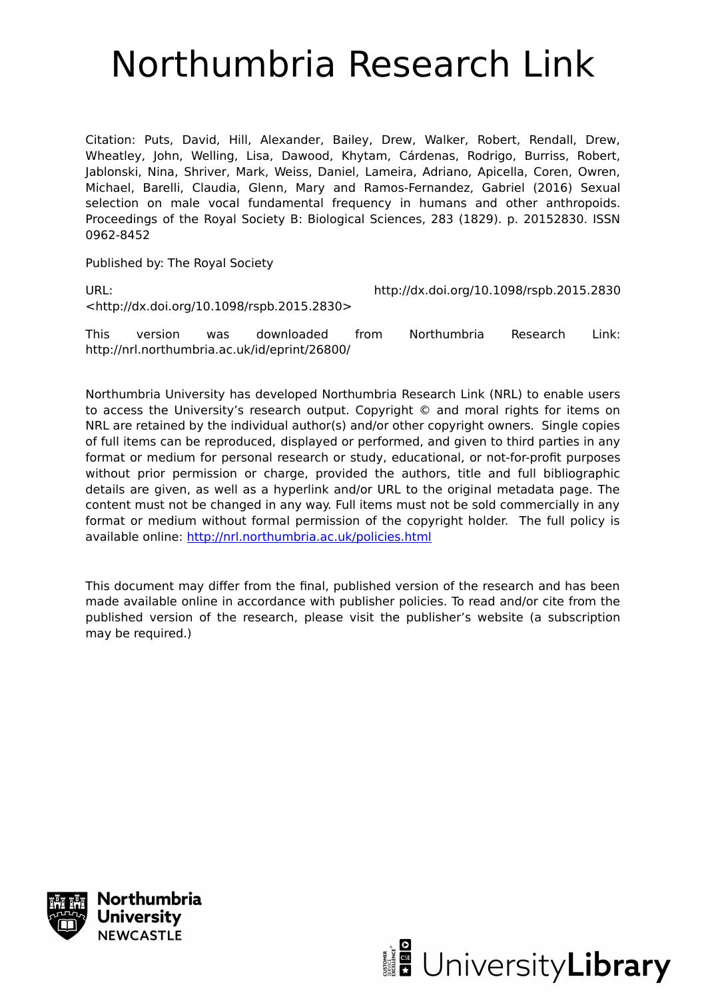# Northumbria Research Link

Citation: Puts, David, Hill, Alexander, Bailey, Drew, Walker, Robert, Rendall, Drew, Wheatley, John, Welling, Lisa, Dawood, Khytam, Cárdenas, Rodrigo, Burriss, Robert, Jablonski, Nina, Shriver, Mark, Weiss, Daniel, Lameira, Adriano, Apicella, Coren, Owren, Michael, Barelli, Claudia, Glenn, Mary and Ramos-Fernandez, Gabriel (2016) Sexual selection on male vocal fundamental frequency in humans and other anthropoids. Proceedings of the Royal Society B: Biological Sciences, 283 (1829). p. 20152830. ISSN 0962-8452

Published by: The Royal Society

<http://dx.doi.org/10.1098/rspb.2015.2830>

URL: http://dx.doi.org/10.1098/rspb.2015.2830

This version was downloaded from Northumbria Research Link: http://nrl.northumbria.ac.uk/id/eprint/26800/

Northumbria University has developed Northumbria Research Link (NRL) to enable users to access the University's research output. Copyright © and moral rights for items on NRL are retained by the individual author(s) and/or other copyright owners. Single copies of full items can be reproduced, displayed or performed, and given to third parties in any format or medium for personal research or study, educational, or not-for-profit purposes without prior permission or charge, provided the authors, title and full bibliographic details are given, as well as a hyperlink and/or URL to the original metadata page. The content must not be changed in any way. Full items must not be sold commercially in any format or medium without formal permission of the copyright holder. The full policy is available online:<http://nrl.northumbria.ac.uk/policies.html>

This document may differ from the final, published version of the research and has been made available online in accordance with publisher policies. To read and/or cite from the published version of the research, please visit the publisher's website (a subscription may be required.)



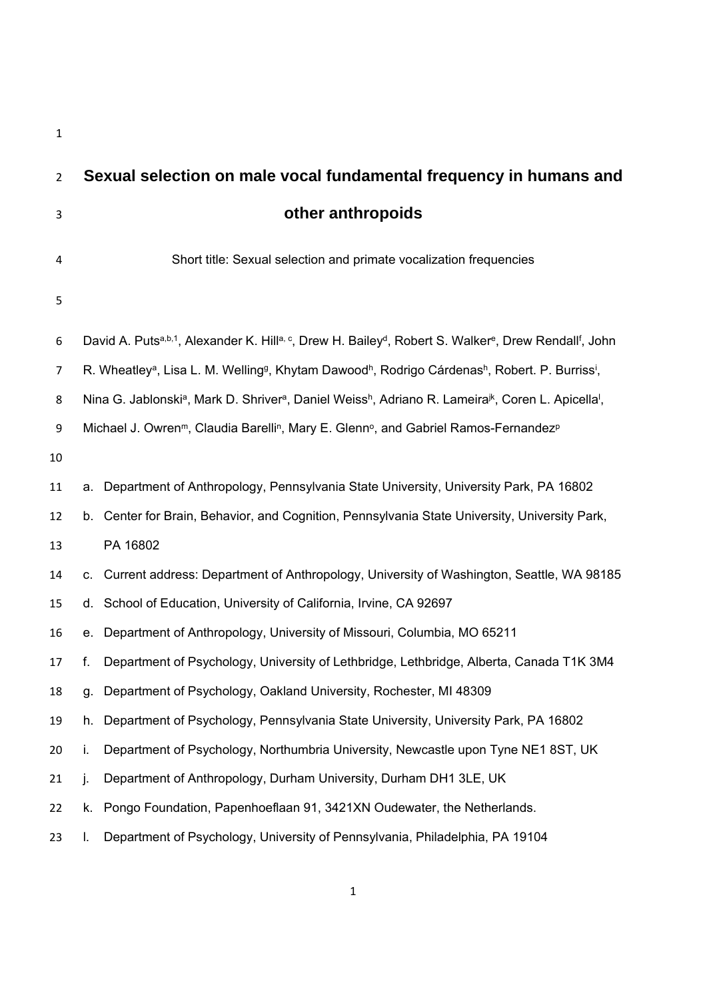| $\overline{2}$ |                                                                                                                                                                 | Sexual selection on male vocal fundamental frequency in humans and                                                                   |  |
|----------------|-----------------------------------------------------------------------------------------------------------------------------------------------------------------|--------------------------------------------------------------------------------------------------------------------------------------|--|
| 3              |                                                                                                                                                                 | other anthropoids                                                                                                                    |  |
| 4              |                                                                                                                                                                 | Short title: Sexual selection and primate vocalization frequencies                                                                   |  |
| 5              |                                                                                                                                                                 |                                                                                                                                      |  |
| 6              | David A. Putsa,b,1, Alexander K. Hilla, c, Drew H. Bailey <sup>d</sup> , Robert S. Walker <sup>e</sup> , Drew Rendall <sup>f</sup> , John                       |                                                                                                                                      |  |
| 7              | R. Wheatley <sup>a</sup> , Lisa L. M. Welling <sup>g</sup> , Khytam Dawood <sup>h</sup> , Rodrigo Cárdenas <sup>h</sup> , Robert. P. Burriss <sup>i</sup> ,     |                                                                                                                                      |  |
| 8              | Nina G. Jablonski <sup>a</sup> , Mark D. Shriver <sup>a</sup> , Daniel Weiss <sup>h</sup> , Adriano R. Lameira <sup>jk</sup> , Coren L. Apicella <sup>1</sup> , |                                                                                                                                      |  |
| 9              |                                                                                                                                                                 | Michael J. Owren <sup>m</sup> , Claudia Barelli <sup>n</sup> , Mary E. Glenn <sup>o</sup> , and Gabriel Ramos-Fernandez <sup>p</sup> |  |
| 10             |                                                                                                                                                                 |                                                                                                                                      |  |
| 11             |                                                                                                                                                                 | a. Department of Anthropology, Pennsylvania State University, University Park, PA 16802                                              |  |
| 12             |                                                                                                                                                                 | b. Center for Brain, Behavior, and Cognition, Pennsylvania State University, University Park,                                        |  |
| 13             |                                                                                                                                                                 | PA 16802                                                                                                                             |  |
| 14             |                                                                                                                                                                 | c. Current address: Department of Anthropology, University of Washington, Seattle, WA 98185                                          |  |
| 15             |                                                                                                                                                                 | d. School of Education, University of California, Irvine, CA 92697                                                                   |  |
| 16             |                                                                                                                                                                 | e. Department of Anthropology, University of Missouri, Columbia, MO 65211                                                            |  |
| 17             | f.                                                                                                                                                              | Department of Psychology, University of Lethbridge, Lethbridge, Alberta, Canada T1K 3M4                                              |  |
| 18             | q.                                                                                                                                                              | Department of Psychology, Oakland University, Rochester, MI 48309                                                                    |  |
| 19             | h.                                                                                                                                                              | Department of Psychology, Pennsylvania State University, University Park, PA 16802                                                   |  |
| 20             | i.                                                                                                                                                              | Department of Psychology, Northumbria University, Newcastle upon Tyne NE1 8ST, UK                                                    |  |
| 21             | j.                                                                                                                                                              | Department of Anthropology, Durham University, Durham DH1 3LE, UK                                                                    |  |
| 22             |                                                                                                                                                                 | k. Pongo Foundation, Papenhoeflaan 91, 3421XN Oudewater, the Netherlands.                                                            |  |
| 23             | L.                                                                                                                                                              | Department of Psychology, University of Pennsylvania, Philadelphia, PA 19104                                                         |  |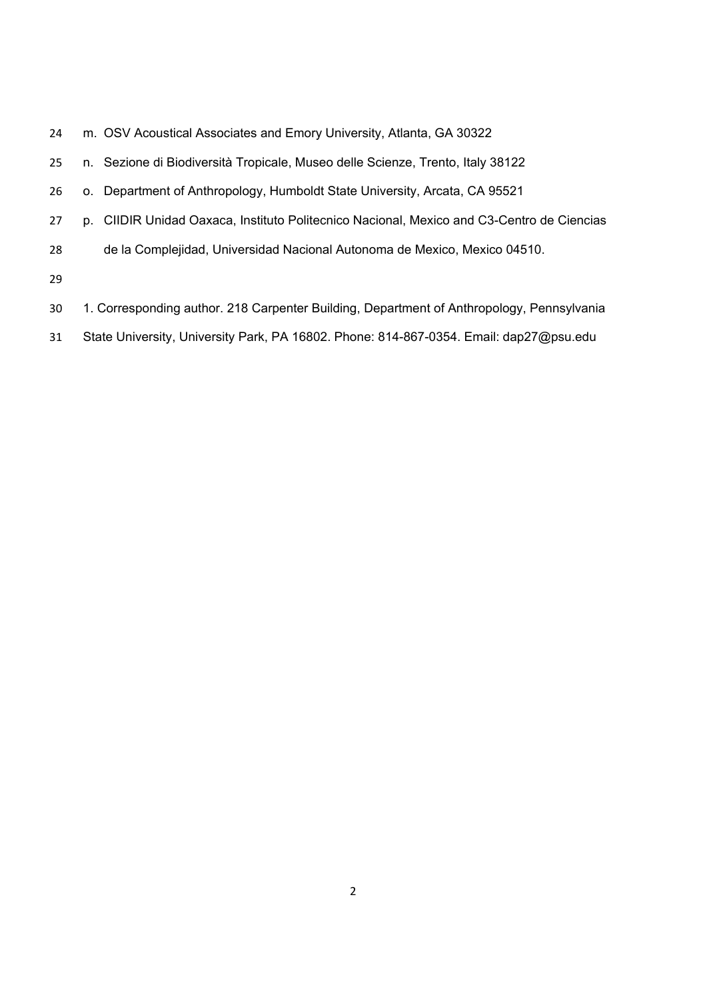| 24 | m. OSV Acoustical Associates and Emory University, Atlanta, GA 30322                      |
|----|-------------------------------------------------------------------------------------------|
| 25 | n. Sezione di Biodiversità Tropicale, Museo delle Scienze, Trento, Italy 38122            |
| 26 | o. Department of Anthropology, Humboldt State University, Arcata, CA 95521                |
| 27 | p. CIIDIR Unidad Oaxaca, Instituto Politecnico Nacional, Mexico and C3-Centro de Ciencias |
| 28 | de la Complejidad, Universidad Nacional Autonoma de Mexico, Mexico 04510.                 |
| 29 |                                                                                           |
| 30 | 1. Corresponding author. 218 Carpenter Building, Department of Anthropology, Pennsylvania |
|    |                                                                                           |

State University, University Park, PA 16802. Phone: 814-867-0354. Email: dap27@psu.edu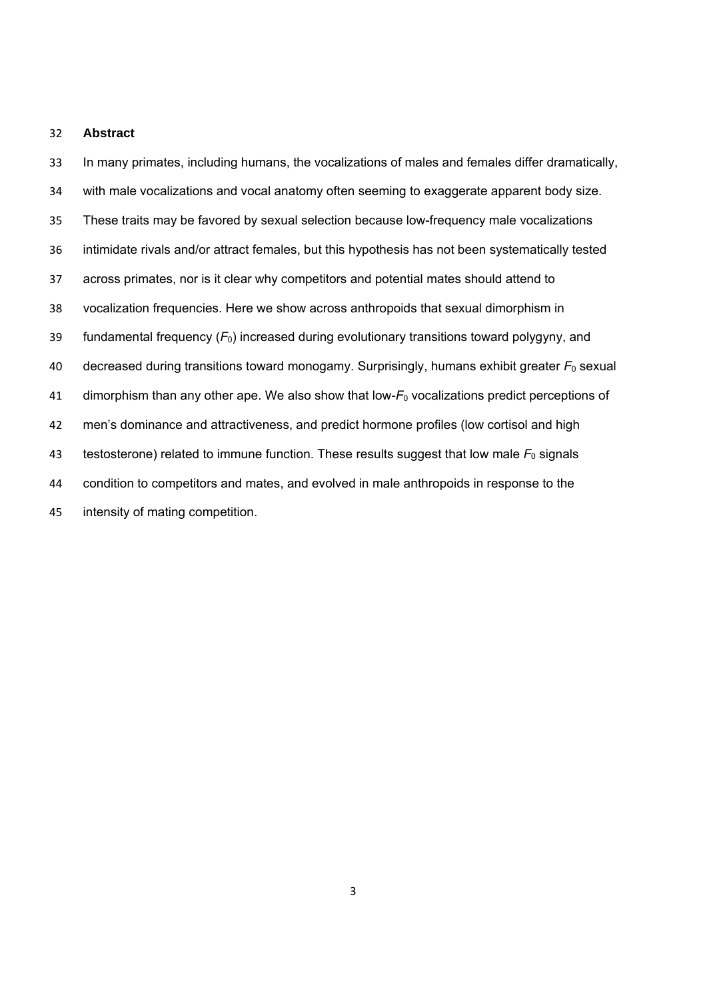#### **Abstract**

 In many primates, including humans, the vocalizations of males and females differ dramatically, with male vocalizations and vocal anatomy often seeming to exaggerate apparent body size. These traits may be favored by sexual selection because low-frequency male vocalizations intimidate rivals and/or attract females, but this hypothesis has not been systematically tested across primates, nor is it clear why competitors and potential mates should attend to vocalization frequencies. Here we show across anthropoids that sexual dimorphism in fundamental frequency (*F*0) increased during evolutionary transitions toward polygyny, and decreased during transitions toward monogamy. Surprisingly, humans exhibit greater *F*0 sexual 41 dimorphism than any other ape. We also show that low- $F_0$  vocalizations predict perceptions of men's dominance and attractiveness, and predict hormone profiles (low cortisol and high 43 testosterone) related to immune function. These results suggest that low male  $F_0$  signals condition to competitors and mates, and evolved in male anthropoids in response to the intensity of mating competition.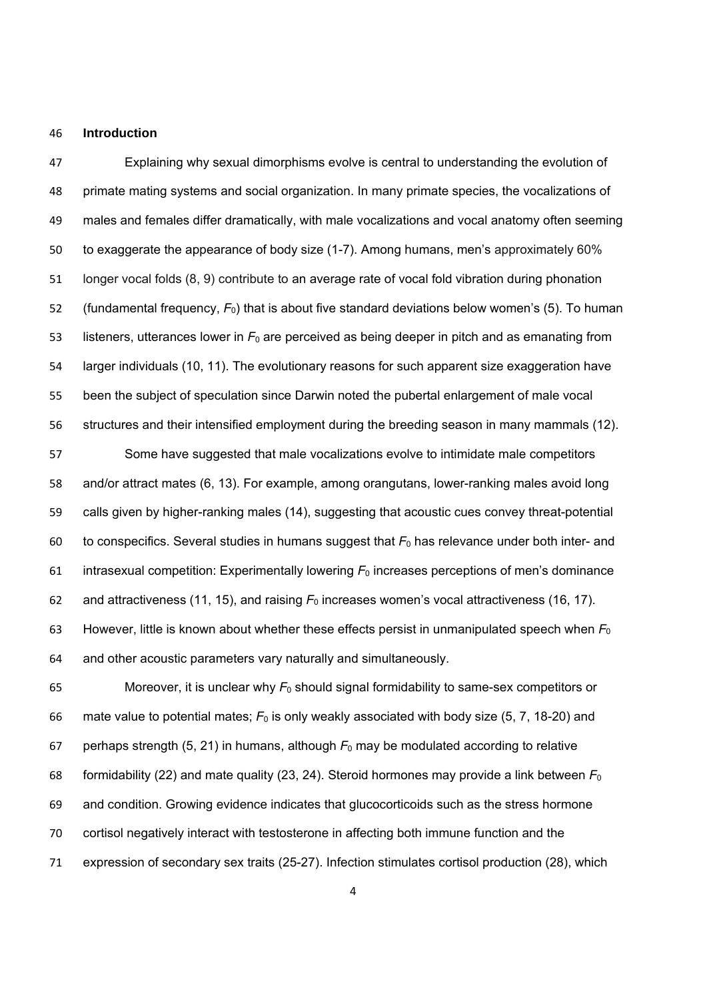#### **Introduction**

 Explaining why sexual dimorphisms evolve is central to understanding the evolution of primate mating systems and social organization. In many primate species, the vocalizations of males and females differ dramatically, with male vocalizations and vocal anatomy often seeming to exaggerate the appearance of body size (1-7). Among humans, men's approximately 60% longer vocal folds (8, 9) contribute to an average rate of vocal fold vibration during phonation 52 (fundamental frequency,  $F_0$ ) that is about five standard deviations below women's (5). To human 53 listeners, utterances lower in  $F_0$  are perceived as being deeper in pitch and as emanating from larger individuals (10, 11). The evolutionary reasons for such apparent size exaggeration have been the subject of speculation since Darwin noted the pubertal enlargement of male vocal structures and their intensified employment during the breeding season in many mammals (12).

 Some have suggested that male vocalizations evolve to intimidate male competitors and/or attract mates (6, 13). For example, among orangutans, lower-ranking males avoid long calls given by higher-ranking males (14), suggesting that acoustic cues convey threat-potential 60 to conspecifics. Several studies in humans suggest that  $F_0$  has relevance under both inter- and intrasexual competition: Experimentally lowering *F*0 increases perceptions of men's dominance 62 and attractiveness (11, 15), and raising  $F_0$  increases women's vocal attractiveness (16, 17). However, little is known about whether these effects persist in unmanipulated speech when *F*<sup>0</sup> and other acoustic parameters vary naturally and simultaneously.

65 Moreover, it is unclear why  $F_0$  should signal formidability to same-sex competitors or mate value to potential mates; *F*0 is only weakly associated with body size (5, 7, 18-20) and 67 perhaps strength (5, 21) in humans, although  $F_0$  may be modulated according to relative formidability (22) and mate quality (23, 24). Steroid hormones may provide a link between *F*<sup>0</sup> and condition. Growing evidence indicates that glucocorticoids such as the stress hormone cortisol negatively interact with testosterone in affecting both immune function and the expression of secondary sex traits (25-27). Infection stimulates cortisol production (28), which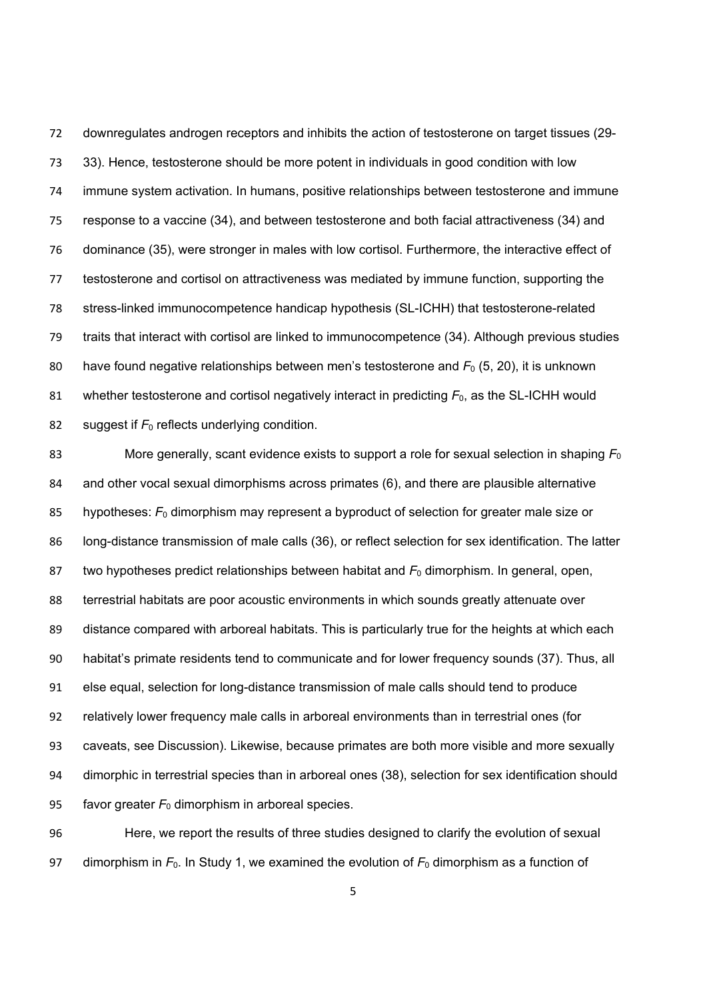downregulates androgen receptors and inhibits the action of testosterone on target tissues (29- 33). Hence, testosterone should be more potent in individuals in good condition with low immune system activation. In humans, positive relationships between testosterone and immune response to a vaccine (34), and between testosterone and both facial attractiveness (34) and dominance (35), were stronger in males with low cortisol. Furthermore, the interactive effect of testosterone and cortisol on attractiveness was mediated by immune function, supporting the stress-linked immunocompetence handicap hypothesis (SL-ICHH) that testosterone-related traits that interact with cortisol are linked to immunocompetence (34). Although previous studies have found negative relationships between men's testosterone and *F*0 (5, 20), it is unknown 81 whether testosterone and cortisol negatively interact in predicting  $F_0$ , as the SL-ICHH would 82 suggest if  $F_0$  reflects underlying condition.

 More generally, scant evidence exists to support a role for sexual selection in shaping *F*<sup>0</sup> and other vocal sexual dimorphisms across primates (6), and there are plausible alternative 85 hypotheses:  $F_0$  dimorphism may represent a byproduct of selection for greater male size or long-distance transmission of male calls (36), or reflect selection for sex identification. The latter 87 two hypotheses predict relationships between habitat and  $F_0$  dimorphism. In general, open, terrestrial habitats are poor acoustic environments in which sounds greatly attenuate over distance compared with arboreal habitats. This is particularly true for the heights at which each habitat's primate residents tend to communicate and for lower frequency sounds (37). Thus, all else equal, selection for long-distance transmission of male calls should tend to produce relatively lower frequency male calls in arboreal environments than in terrestrial ones (for caveats, see Discussion). Likewise, because primates are both more visible and more sexually dimorphic in terrestrial species than in arboreal ones (38), selection for sex identification should 95 favor greater  $F_0$  dimorphism in arboreal species.

 Here, we report the results of three studies designed to clarify the evolution of sexual 97 dimorphism in  $F_0$ . In Study 1, we examined the evolution of  $F_0$  dimorphism as a function of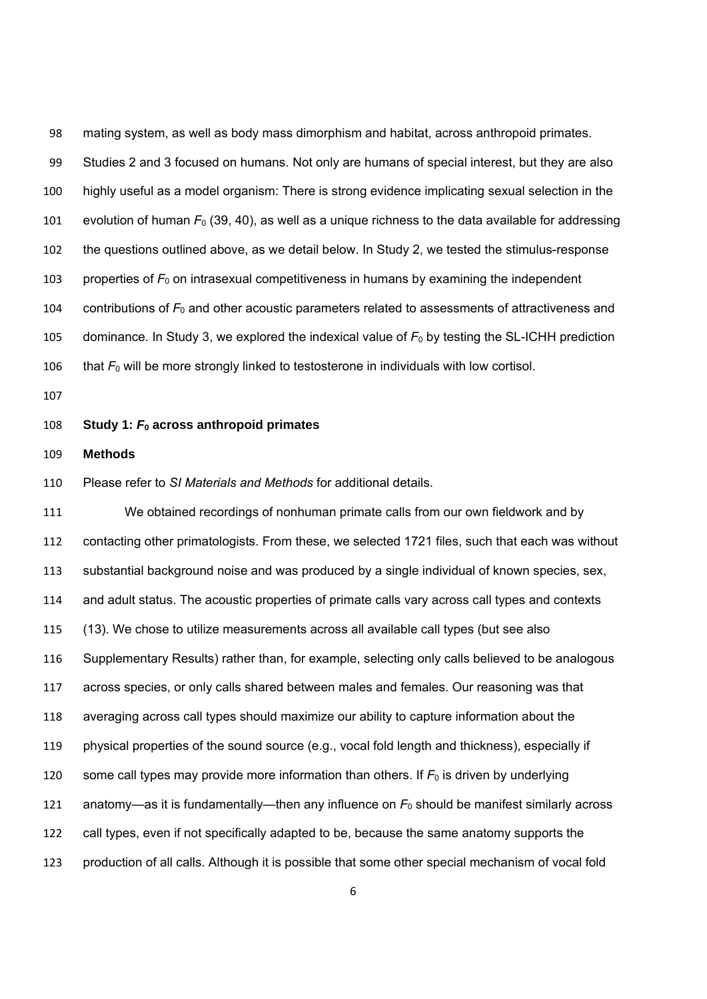mating system, as well as body mass dimorphism and habitat, across anthropoid primates. Studies 2 and 3 focused on humans. Not only are humans of special interest, but they are also highly useful as a model organism: There is strong evidence implicating sexual selection in the 101 evolution of human  $F_0$  (39, 40), as well as a unique richness to the data available for addressing the questions outlined above, as we detail below. In Study 2, we tested the stimulus-response 103 properties of  $F_0$  on intrasexual competitiveness in humans by examining the independent 104 contributions of  $F_0$  and other acoustic parameters related to assessments of attractiveness and 105 dominance. In Study 3, we explored the indexical value of  $F_0$  by testing the SL-ICHH prediction 106 that  $F_0$  will be more strongly linked to testosterone in individuals with low cortisol.

## **Study 1:** *F***0 across anthropoid primates**

## **Methods**

Please refer to *SI Materials and Methods* for additional details.

 We obtained recordings of nonhuman primate calls from our own fieldwork and by contacting other primatologists. From these, we selected 1721 files, such that each was without substantial background noise and was produced by a single individual of known species, sex, and adult status. The acoustic properties of primate calls vary across call types and contexts (13). We chose to utilize measurements across all available call types (but see also Supplementary Results) rather than, for example, selecting only calls believed to be analogous across species, or only calls shared between males and females. Our reasoning was that averaging across call types should maximize our ability to capture information about the physical properties of the sound source (e.g., vocal fold length and thickness), especially if 120 some call types may provide more information than others. If  $F_0$  is driven by underlying 121 anatomy—as it is fundamentally—then any influence on  $F_0$  should be manifest similarly across call types, even if not specifically adapted to be, because the same anatomy supports the production of all calls. Although it is possible that some other special mechanism of vocal fold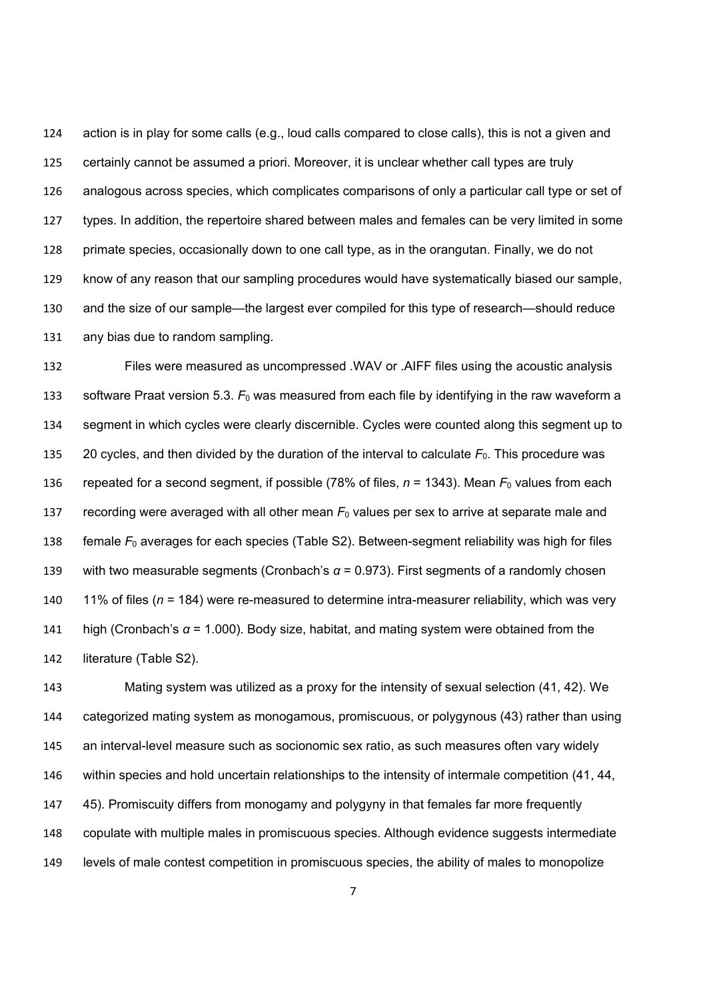action is in play for some calls (e.g., loud calls compared to close calls), this is not a given and certainly cannot be assumed a priori. Moreover, it is unclear whether call types are truly analogous across species, which complicates comparisons of only a particular call type or set of types. In addition, the repertoire shared between males and females can be very limited in some primate species, occasionally down to one call type, as in the orangutan. Finally, we do not know of any reason that our sampling procedures would have systematically biased our sample, and the size of our sample—the largest ever compiled for this type of research—should reduce any bias due to random sampling.

 Files were measured as uncompressed .WAV or .AIFF files using the acoustic analysis 133 software Praat version 5.3.  $F_0$  was measured from each file by identifying in the raw waveform a segment in which cycles were clearly discernible. Cycles were counted along this segment up to 135 20 cycles, and then divided by the duration of the interval to calculate  $F_0$ . This procedure was repeated for a second segment, if possible (78% of files, *n* = 1343). Mean *F*0 values from each 137 recording were averaged with all other mean  $F_0$  values per sex to arrive at separate male and 138 female  $F_0$  averages for each species (Table S2). Between-segment reliability was high for files with two measurable segments (Cronbach's *α* = 0.973). First segments of a randomly chosen 11% of files (*n* = 184) were re-measured to determine intra-measurer reliability, which was very high (Cronbach's *α* = 1.000). Body size, habitat, and mating system were obtained from the literature (Table S2).

 Mating system was utilized as a proxy for the intensity of sexual selection (41, 42). We categorized mating system as monogamous, promiscuous, or polygynous (43) rather than using an interval-level measure such as socionomic sex ratio, as such measures often vary widely within species and hold uncertain relationships to the intensity of intermale competition (41, 44, 45). Promiscuity differs from monogamy and polygyny in that females far more frequently copulate with multiple males in promiscuous species. Although evidence suggests intermediate levels of male contest competition in promiscuous species, the ability of males to monopolize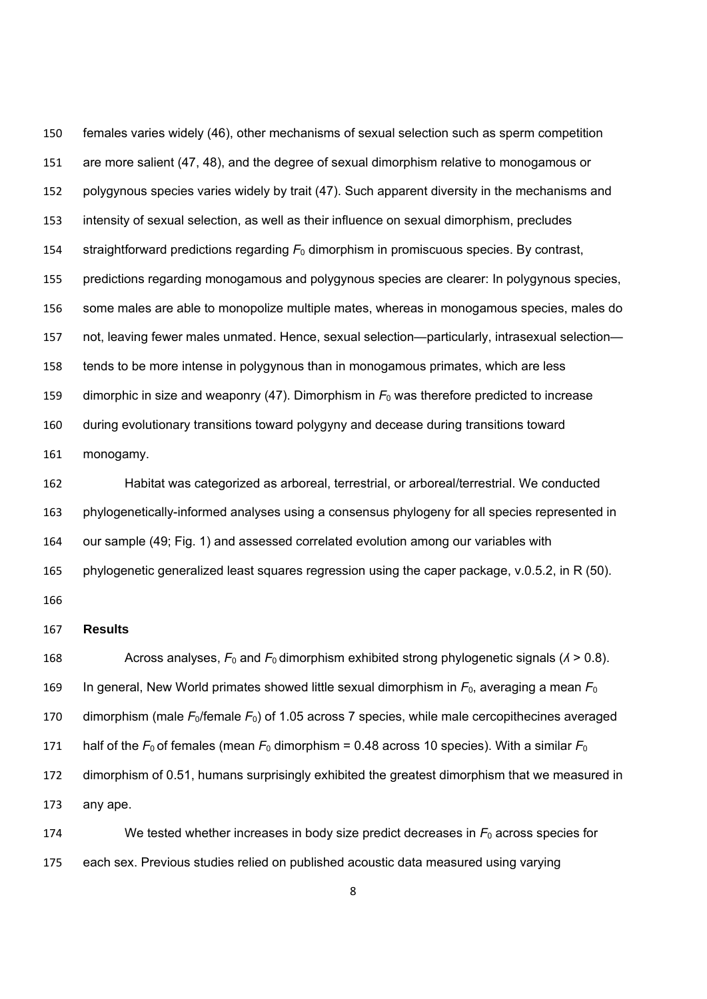females varies widely (46), other mechanisms of sexual selection such as sperm competition are more salient (47, 48), and the degree of sexual dimorphism relative to monogamous or polygynous species varies widely by trait (47). Such apparent diversity in the mechanisms and intensity of sexual selection, as well as their influence on sexual dimorphism, precludes 154 straightforward predictions regarding  $F_0$  dimorphism in promiscuous species. By contrast, predictions regarding monogamous and polygynous species are clearer: In polygynous species, some males are able to monopolize multiple mates, whereas in monogamous species, males do not, leaving fewer males unmated. Hence, sexual selection—particularly, intrasexual selection— tends to be more intense in polygynous than in monogamous primates, which are less 159 dimorphic in size and weaponry (47). Dimorphism in  $F_0$  was therefore predicted to increase during evolutionary transitions toward polygyny and decease during transitions toward monogamy.

 Habitat was categorized as arboreal, terrestrial, or arboreal/terrestrial. We conducted phylogenetically-informed analyses using a consensus phylogeny for all species represented in our sample (49; Fig. 1) and assessed correlated evolution among our variables with phylogenetic generalized least squares regression using the caper package, v.0.5.2, in R (50).

## **Results**

168 Across analyses,  $F_0$  and  $F_0$  dimorphism exhibited strong phylogenetic signals ( $\lambda > 0.8$ ). In general, New World primates showed little sexual dimorphism in *F*0, averaging a mean *F*<sup>0</sup> 170 dimorphism (male *F*<sub>0</sub>/female *F*<sub>0</sub>) of 1.05 across 7 species, while male cercopithecines averaged 171 half of the  $F_0$  of females (mean  $F_0$  dimorphism = 0.48 across 10 species). With a similar  $F_0$  dimorphism of 0.51, humans surprisingly exhibited the greatest dimorphism that we measured in any ape. We tested whether increases in body size predict decreases in *F*0 across species for

each sex. Previous studies relied on published acoustic data measured using varying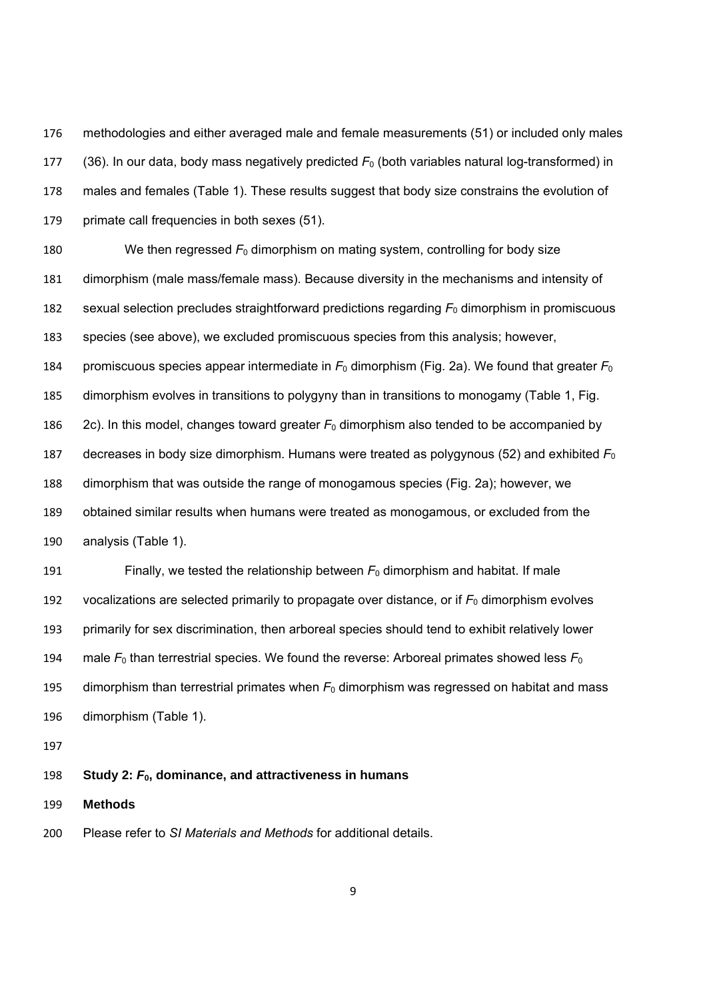methodologies and either averaged male and female measurements (51) or included only males 177 (36). In our data, body mass negatively predicted  $F_0$  (both variables natural log-transformed) in males and females (Table 1). These results suggest that body size constrains the evolution of primate call frequencies in both sexes (51).

 We then regressed *F*0 dimorphism on mating system, controlling for body size dimorphism (male mass/female mass). Because diversity in the mechanisms and intensity of sexual selection precludes straightforward predictions regarding *F*0 dimorphism in promiscuous species (see above), we excluded promiscuous species from this analysis; however, promiscuous species appear intermediate in *F*0 dimorphism (Fig. 2a). We found that greater *F*<sup>0</sup> dimorphism evolves in transitions to polygyny than in transitions to monogamy (Table 1, Fig. 186 2c). In this model, changes toward greater  $F_0$  dimorphism also tended to be accompanied by decreases in body size dimorphism. Humans were treated as polygynous (52) and exhibited *F*<sup>0</sup> dimorphism that was outside the range of monogamous species (Fig. 2a); however, we obtained similar results when humans were treated as monogamous, or excluded from the analysis (Table 1).

191 Finally, we tested the relationship between  $F_0$  dimorphism and habitat. If male 192 vocalizations are selected primarily to propagate over distance, or if  $F_0$  dimorphism evolves primarily for sex discrimination, then arboreal species should tend to exhibit relatively lower 194 male  $F_0$  than terrestrial species. We found the reverse: Arboreal primates showed less  $F_0$  dimorphism than terrestrial primates when *F*0 dimorphism was regressed on habitat and mass dimorphism (Table 1).

#### **Study 2:** *F***0, dominance, and attractiveness in humans**

**Methods** 

Please refer to *SI Materials and Methods* for additional details.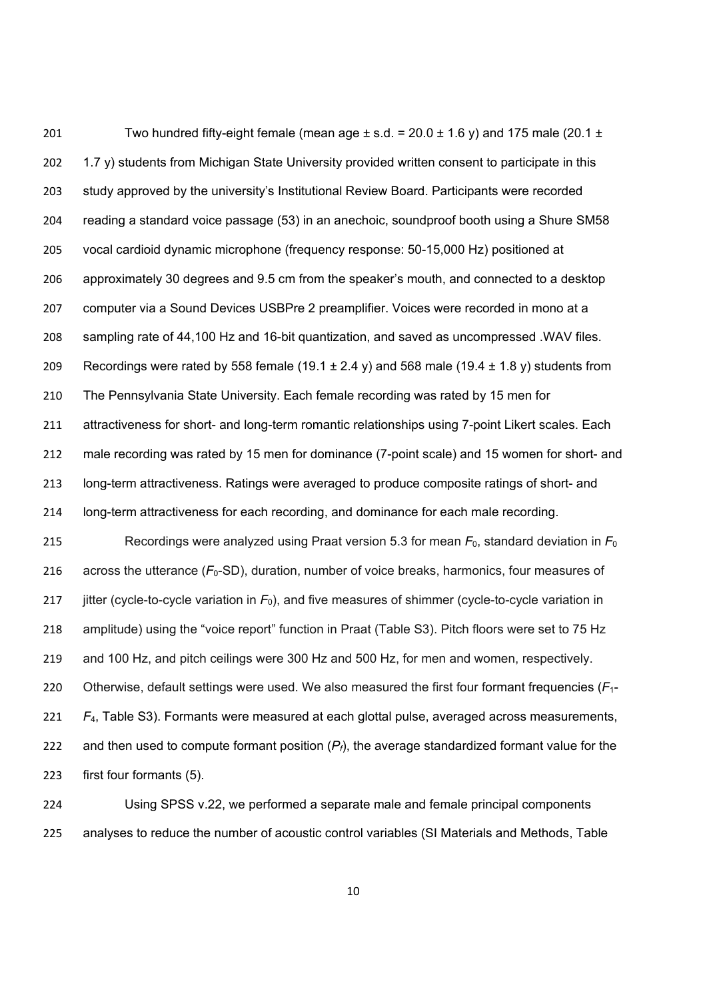201 Two hundred fifty-eight female (mean age  $\pm$  s.d. = 20.0  $\pm$  1.6 y) and 175 male (20.1  $\pm$ 202 1.7 y) students from Michigan State University provided written consent to participate in this study approved by the university's Institutional Review Board. Participants were recorded reading a standard voice passage (53) in an anechoic, soundproof booth using a Shure SM58 vocal cardioid dynamic microphone (frequency response: 50-15,000 Hz) positioned at approximately 30 degrees and 9.5 cm from the speaker's mouth, and connected to a desktop computer via a Sound Devices USBPre 2 preamplifier. Voices were recorded in mono at a sampling rate of 44,100 Hz and 16-bit quantization, and saved as uncompressed .WAV files. 209 Recordings were rated by 558 female (19.1  $\pm$  2.4 y) and 568 male (19.4  $\pm$  1.8 y) students from The Pennsylvania State University. Each female recording was rated by 15 men for attractiveness for short- and long-term romantic relationships using 7-point Likert scales. Each male recording was rated by 15 men for dominance (7-point scale) and 15 women for short- and long-term attractiveness. Ratings were averaged to produce composite ratings of short- and long-term attractiveness for each recording, and dominance for each male recording. Recordings were analyzed using Praat version 5.3 for mean *F*0, standard deviation in *F*<sup>0</sup> 216 across the utterance ( $F_0$ -SD), duration, number of voice breaks, harmonics, four measures of jitter (cycle-to-cycle variation in *F*0), and five measures of shimmer (cycle-to-cycle variation in 218 amplitude) using the "voice report" function in Praat (Table S3). Pitch floors were set to 75 Hz and 100 Hz, and pitch ceilings were 300 Hz and 500 Hz, for men and women, respectively. Otherwise, default settings were used. We also measured the first four formant frequencies (*F*1- *F*4, Table S3). Formants were measured at each glottal pulse, averaged across measurements, and then used to compute formant position (*Pf*), the average standardized formant value for the first four formants (5).

 Using SPSS v.22, we performed a separate male and female principal components analyses to reduce the number of acoustic control variables (SI Materials and Methods, Table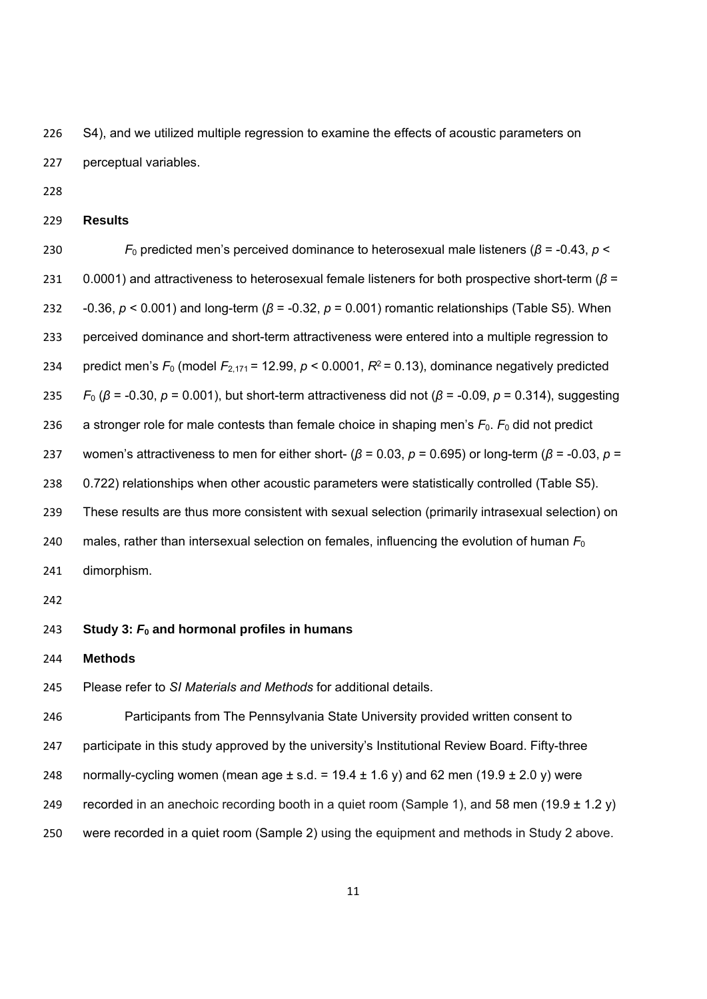226 S4), and we utilized multiple regression to examine the effects of acoustic parameters on perceptual variables.

**Results** 

 *F*0 predicted men's perceived dominance to heterosexual male listeners (*β* = -0.43, *p* < 0.0001) and attractiveness to heterosexual female listeners for both prospective short-term (*β* = -0.36, *p* < 0.001) and long-term (*β* = -0.32, *p* = 0.001) romantic relationships (Table S5). When perceived dominance and short-term attractiveness were entered into a multiple regression to 234 predict men's  $F_0$  (model  $F_{2,171}$  = 12.99,  $p < 0.0001$ ,  $R^2$  = 0.13), dominance negatively predicted *F*0 (*β* = -0.30, *p* = 0.001), but short-term attractiveness did not (*β* = -0.09, *p* = 0.314), suggesting 236 a stronger role for male contests than female choice in shaping men's  $F_0$ .  $F_0$  did not predict women's attractiveness to men for either short- (*β* = 0.03, *p* = 0.695) or long-term (*β* = -0.03, *p* = 0.722) relationships when other acoustic parameters were statistically controlled (Table S5). These results are thus more consistent with sexual selection (primarily intrasexual selection) on males, rather than intersexual selection on females, influencing the evolution of human *F*<sup>0</sup> dimorphism. 

- **Study 3:** *F***0 and hormonal profiles in humans**
- **Methods**

Please refer to *SI Materials and Methods* for additional details.

 Participants from The Pennsylvania State University provided written consent to participate in this study approved by the university's Institutional Review Board. Fifty-three 248 normally-cycling women (mean age  $\pm$  s.d. = 19.4  $\pm$  1.6 y) and 62 men (19.9  $\pm$  2.0 y) were 249 recorded in an anechoic recording booth in a quiet room (Sample 1), and 58 men (19.9  $\pm$  1.2 y) were recorded in a quiet room (Sample 2) using the equipment and methods in Study 2 above.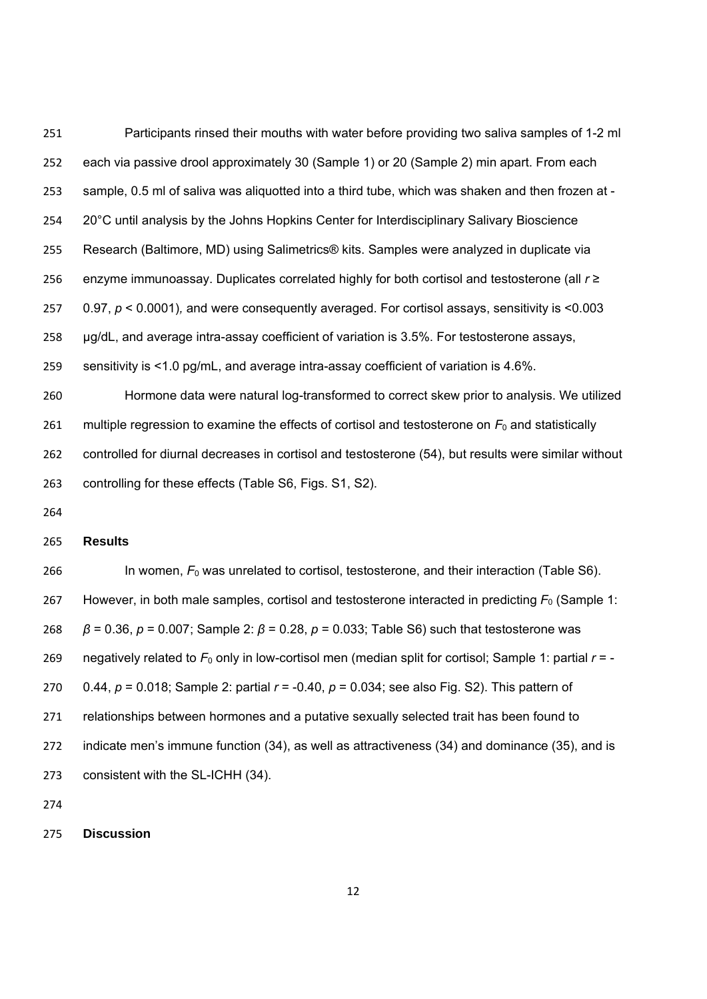Participants rinsed their mouths with water before providing two saliva samples of 1-2 ml each via passive drool approximately 30 (Sample 1) or 20 (Sample 2) min apart. From each sample, 0.5 ml of saliva was aliquotted into a third tube, which was shaken and then frozen at - 254 20°C until analysis by the Johns Hopkins Center for Interdisciplinary Salivary Bioscience Research (Baltimore, MD) using Salimetrics® kits. Samples were analyzed in duplicate via enzyme immunoassay. Duplicates correlated highly for both cortisol and testosterone (all *r* ≥ 0.97, *p* < 0.0001)*,* and were consequently averaged. For cortisol assays, sensitivity is <0.003 μg/dL, and average intra-assay coefficient of variation is 3.5%. For testosterone assays, sensitivity is <1.0 pg/mL, and average intra-assay coefficient of variation is 4.6%. Hormone data were natural log-transformed to correct skew prior to analysis. We utilized multiple regression to examine the effects of cortisol and testosterone on *F*0 and statistically controlled for diurnal decreases in cortisol and testosterone (54), but results were similar without

controlling for these effects (Table S6, Figs. S1, S2).

## **Results**

266 In women,  $F_0$  was unrelated to cortisol, testosterone, and their interaction (Table S6). However, in both male samples, cortisol and testosterone interacted in predicting *F*0 (Sample 1: *β* = 0.36, *p* = 0.007; Sample 2: *β* = 0.28, *p* = 0.033; Table S6) such that testosterone was 269 negatively related to  $F_0$  only in low-cortisol men (median split for cortisol; Sample 1: partial  $r = -$  0.44, *p* = 0.018; Sample 2: partial *r* = -0.40, *p* = 0.034; see also Fig. S2). This pattern of relationships between hormones and a putative sexually selected trait has been found to indicate men's immune function (34), as well as attractiveness (34) and dominance (35), and is consistent with the SL-ICHH (34).

**Discussion**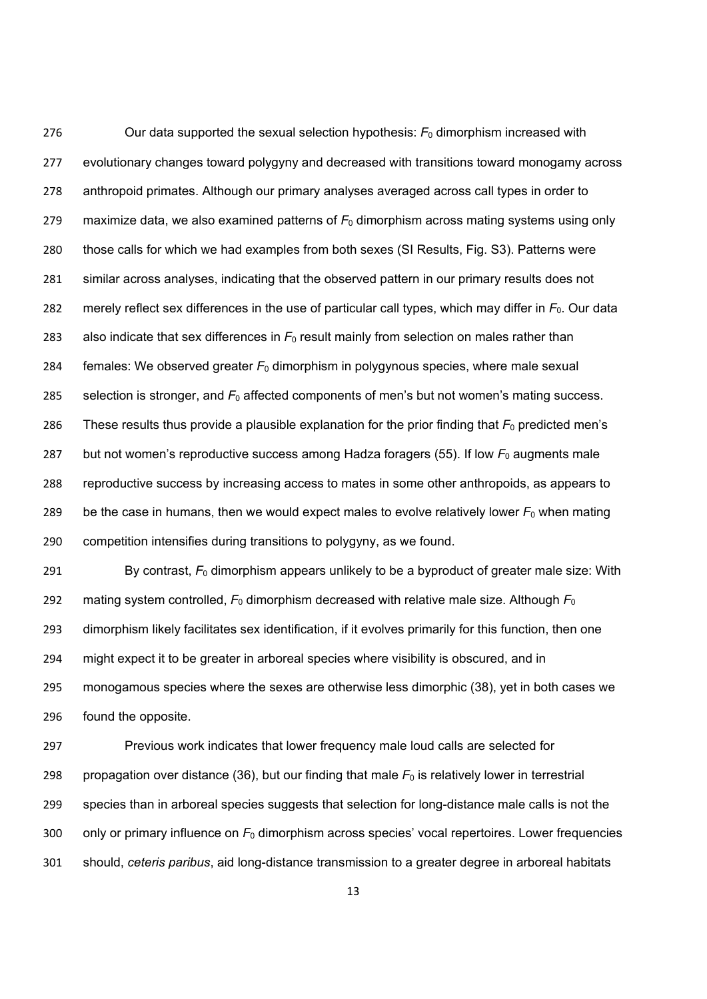Our data supported the sexual selection hypothesis: *F*0 dimorphism increased with 277 evolutionary changes toward polygyny and decreased with transitions toward monogamy across anthropoid primates. Although our primary analyses averaged across call types in order to 279 maximize data, we also examined patterns of  $F_0$  dimorphism across mating systems using only those calls for which we had examples from both sexes (SI Results, Fig. S3). Patterns were similar across analyses, indicating that the observed pattern in our primary results does not 282 merely reflect sex differences in the use of particular call types, which may differ in  $F_0$ . Our data 283 also indicate that sex differences in  $F_0$  result mainly from selection on males rather than females: We observed greater *F*0 dimorphism in polygynous species, where male sexual 285 selection is stronger, and  $F_0$  affected components of men's but not women's mating success. 286 These results thus provide a plausible explanation for the prior finding that  $F_0$  predicted men's but not women's reproductive success among Hadza foragers (55). If low *F*0 augments male reproductive success by increasing access to mates in some other anthropoids, as appears to 289 be the case in humans, then we would expect males to evolve relatively lower  $F_0$  when mating competition intensifies during transitions to polygyny, as we found.

 By contrast, *F*0 dimorphism appears unlikely to be a byproduct of greater male size: With 292 mating system controlled,  $F_0$  dimorphism decreased with relative male size. Although  $F_0$  dimorphism likely facilitates sex identification, if it evolves primarily for this function, then one might expect it to be greater in arboreal species where visibility is obscured, and in monogamous species where the sexes are otherwise less dimorphic (38), yet in both cases we found the opposite.

 Previous work indicates that lower frequency male loud calls are selected for 298 propagation over distance (36), but our finding that male  $F_0$  is relatively lower in terrestrial species than in arboreal species suggests that selection for long-distance male calls is not the only or primary influence on *F*0 dimorphism across species' vocal repertoires. Lower frequencies should, *ceteris paribus*, aid long-distance transmission to a greater degree in arboreal habitats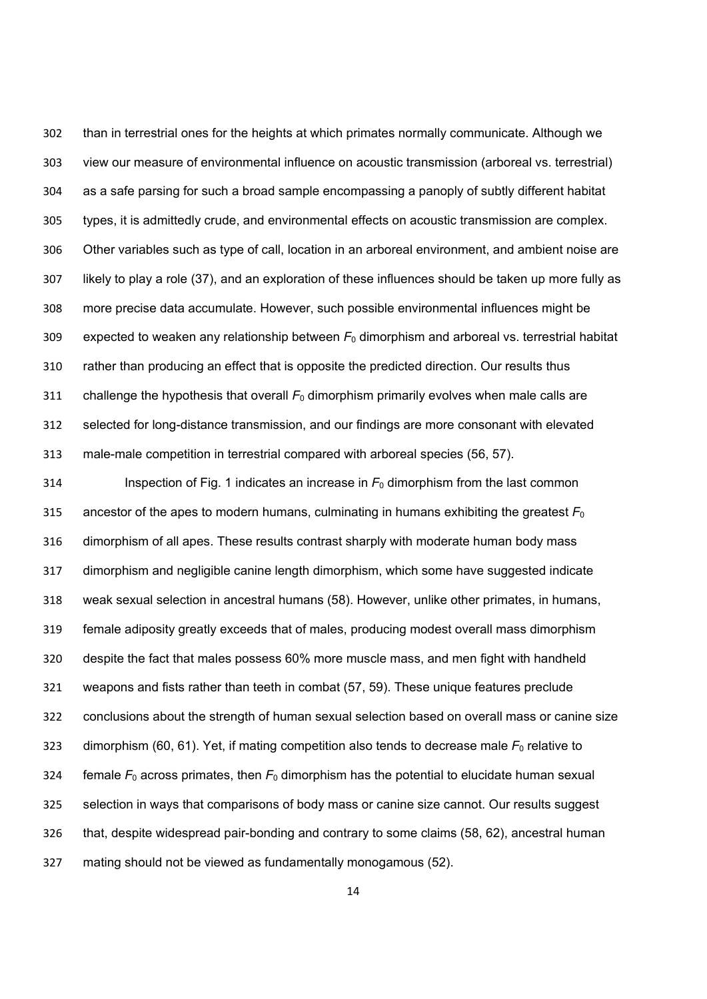than in terrestrial ones for the heights at which primates normally communicate. Although we view our measure of environmental influence on acoustic transmission (arboreal vs. terrestrial) as a safe parsing for such a broad sample encompassing a panoply of subtly different habitat types, it is admittedly crude, and environmental effects on acoustic transmission are complex. Other variables such as type of call, location in an arboreal environment, and ambient noise are likely to play a role (37), and an exploration of these influences should be taken up more fully as more precise data accumulate. However, such possible environmental influences might be expected to weaken any relationship between *F*0 dimorphism and arboreal vs. terrestrial habitat rather than producing an effect that is opposite the predicted direction. Our results thus 311 challenge the hypothesis that overall  $F_0$  dimorphism primarily evolves when male calls are selected for long-distance transmission, and our findings are more consonant with elevated male-male competition in terrestrial compared with arboreal species (56, 57).

314 Inspection of Fig. 1 indicates an increase in  $F_0$  dimorphism from the last common ancestor of the apes to modern humans, culminating in humans exhibiting the greatest *F*<sup>0</sup> dimorphism of all apes. These results contrast sharply with moderate human body mass dimorphism and negligible canine length dimorphism, which some have suggested indicate weak sexual selection in ancestral humans (58). However, unlike other primates, in humans, female adiposity greatly exceeds that of males, producing modest overall mass dimorphism despite the fact that males possess 60% more muscle mass, and men fight with handheld weapons and fists rather than teeth in combat (57, 59). These unique features preclude conclusions about the strength of human sexual selection based on overall mass or canine size 323 dimorphism (60, 61). Yet, if mating competition also tends to decrease male  $F_0$  relative to 324 female  $F_0$  across primates, then  $F_0$  dimorphism has the potential to elucidate human sexual selection in ways that comparisons of body mass or canine size cannot. Our results suggest that, despite widespread pair-bonding and contrary to some claims (58, 62), ancestral human mating should not be viewed as fundamentally monogamous (52).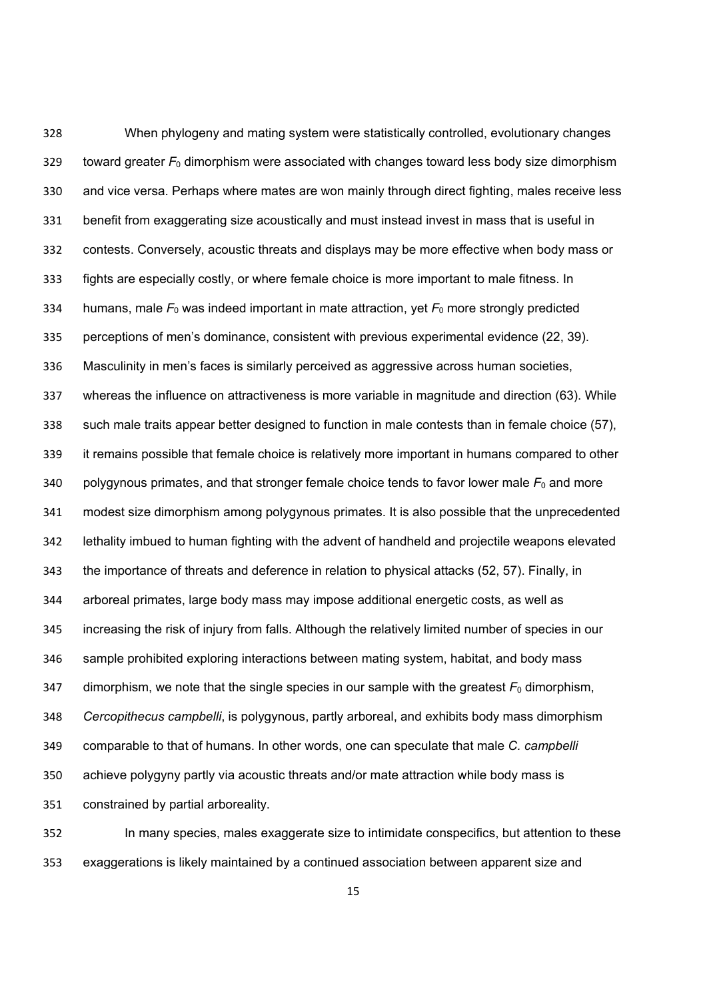When phylogeny and mating system were statistically controlled, evolutionary changes toward greater *F*0 dimorphism were associated with changes toward less body size dimorphism and vice versa. Perhaps where mates are won mainly through direct fighting, males receive less benefit from exaggerating size acoustically and must instead invest in mass that is useful in contests. Conversely, acoustic threats and displays may be more effective when body mass or fights are especially costly, or where female choice is more important to male fitness. In 334 humans, male  $F_0$  was indeed important in mate attraction, yet  $F_0$  more strongly predicted perceptions of men's dominance, consistent with previous experimental evidence (22, 39). Masculinity in men's faces is similarly perceived as aggressive across human societies, whereas the influence on attractiveness is more variable in magnitude and direction (63). While such male traits appear better designed to function in male contests than in female choice (57), it remains possible that female choice is relatively more important in humans compared to other 340 polygynous primates, and that stronger female choice tends to favor lower male  $F_0$  and more modest size dimorphism among polygynous primates. It is also possible that the unprecedented lethality imbued to human fighting with the advent of handheld and projectile weapons elevated the importance of threats and deference in relation to physical attacks (52, 57). Finally, in arboreal primates, large body mass may impose additional energetic costs, as well as increasing the risk of injury from falls. Although the relatively limited number of species in our sample prohibited exploring interactions between mating system, habitat, and body mass 347 dimorphism, we note that the single species in our sample with the greatest  $F_0$  dimorphism, *Cercopithecus campbelli*, is polygynous, partly arboreal, and exhibits body mass dimorphism comparable to that of humans. In other words, one can speculate that male *C. campbelli* achieve polygyny partly via acoustic threats and/or mate attraction while body mass is constrained by partial arboreality.

 In many species, males exaggerate size to intimidate conspecifics, but attention to these exaggerations is likely maintained by a continued association between apparent size and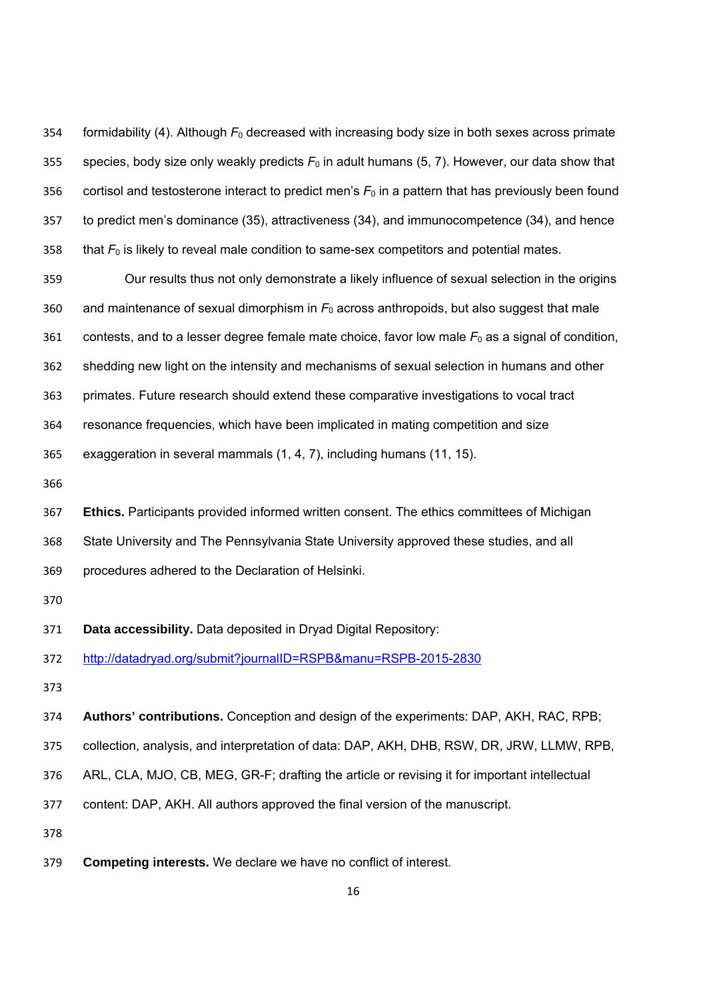formidability (4). Although *F*0 decreased with increasing body size in both sexes across primate species, body size only weakly predicts *F*0 in adult humans (5, 7). However, our data show that 356 cortisol and testosterone interact to predict men's  $F_0$  in a pattern that has previously been found to predict men's dominance (35), attractiveness (34), and immunocompetence (34), and hence 358 that  $F_0$  is likely to reveal male condition to same-sex competitors and potential mates.

 Our results thus not only demonstrate a likely influence of sexual selection in the origins 360 and maintenance of sexual dimorphism in  $F_0$  across anthropoids, but also suggest that male contests, and to a lesser degree female mate choice, favor low male *F*0 as a signal of condition, shedding new light on the intensity and mechanisms of sexual selection in humans and other primates. Future research should extend these comparative investigations to vocal tract resonance frequencies, which have been implicated in mating competition and size

exaggeration in several mammals (1, 4, 7), including humans (11, 15).

 **Ethics.** Participants provided informed written consent. The ethics committees of Michigan State University and The Pennsylvania State University approved these studies, and all procedures adhered to the Declaration of Helsinki.

**Data accessibility.** Data deposited in Dryad Digital Repository:

http://datadryad.org/submit?journalID=RSPB&manu=RSPB-2015-2830

**Authors' contributions.** Conception and design of the experiments: DAP, AKH, RAC, RPB;

collection, analysis, and interpretation of data: DAP, AKH, DHB, RSW, DR, JRW, LLMW, RPB,

ARL, CLA, MJO, CB, MEG, GR-F; drafting the article or revising it for important intellectual

content: DAP, AKH. All authors approved the final version of the manuscript.

**Competing interests.** We declare we have no conflict of interest.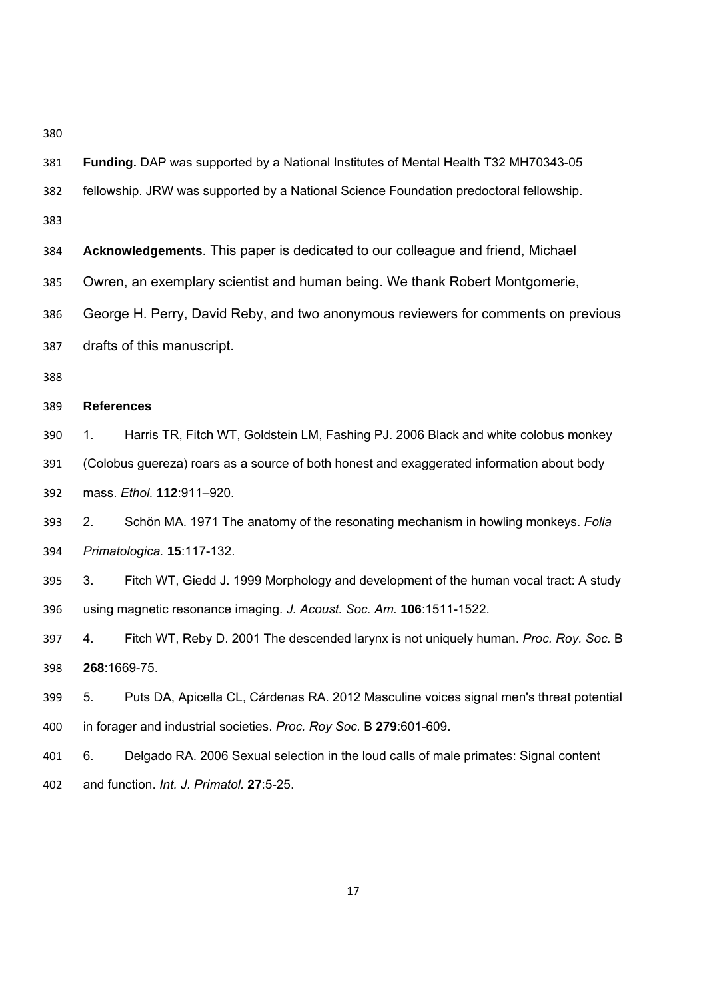| 381 | Funding. DAP was supported by a National Institutes of Mental Health T32 MH70343-05          |  |
|-----|----------------------------------------------------------------------------------------------|--|
| 382 | fellowship. JRW was supported by a National Science Foundation predoctoral fellowship.       |  |
| 383 |                                                                                              |  |
| 384 | Acknowledgements. This paper is dedicated to our colleague and friend, Michael               |  |
| 385 | Owren, an exemplary scientist and human being. We thank Robert Montgomerie,                  |  |
| 386 | George H. Perry, David Reby, and two anonymous reviewers for comments on previous            |  |
| 387 | drafts of this manuscript.                                                                   |  |
| 388 |                                                                                              |  |
| 389 | <b>References</b>                                                                            |  |
| 390 | Harris TR, Fitch WT, Goldstein LM, Fashing PJ. 2006 Black and white colobus monkey<br>1.     |  |
| 391 | (Colobus guereza) roars as a source of both honest and exaggerated information about body    |  |
| 392 | mass. Ethol. 112:911-920.                                                                    |  |
| 393 | Schön MA. 1971 The anatomy of the resonating mechanism in howling monkeys. Folia<br>2.       |  |
| 394 | Primatologica. 15:117-132.                                                                   |  |
| 395 | Fitch WT, Giedd J. 1999 Morphology and development of the human vocal tract: A study<br>3.   |  |
| 396 | using magnetic resonance imaging. J. Acoust. Soc. Am. 106:1511-1522.                         |  |
| 397 | Fitch WT, Reby D. 2001 The descended larynx is not uniquely human. Proc. Roy. Soc. B<br>4.   |  |
| 398 | 268:1669-75.                                                                                 |  |
| 399 | 5.<br>Puts DA, Apicella CL, Cárdenas RA. 2012 Masculine voices signal men's threat potential |  |
| 400 | in forager and industrial societies. Proc. Roy Soc. B 279:601-609.                           |  |
| 401 | Delgado RA. 2006 Sexual selection in the loud calls of male primates: Signal content<br>6.   |  |
| 402 | and function. Int. J. Primatol. 27:5-25.                                                     |  |
|     |                                                                                              |  |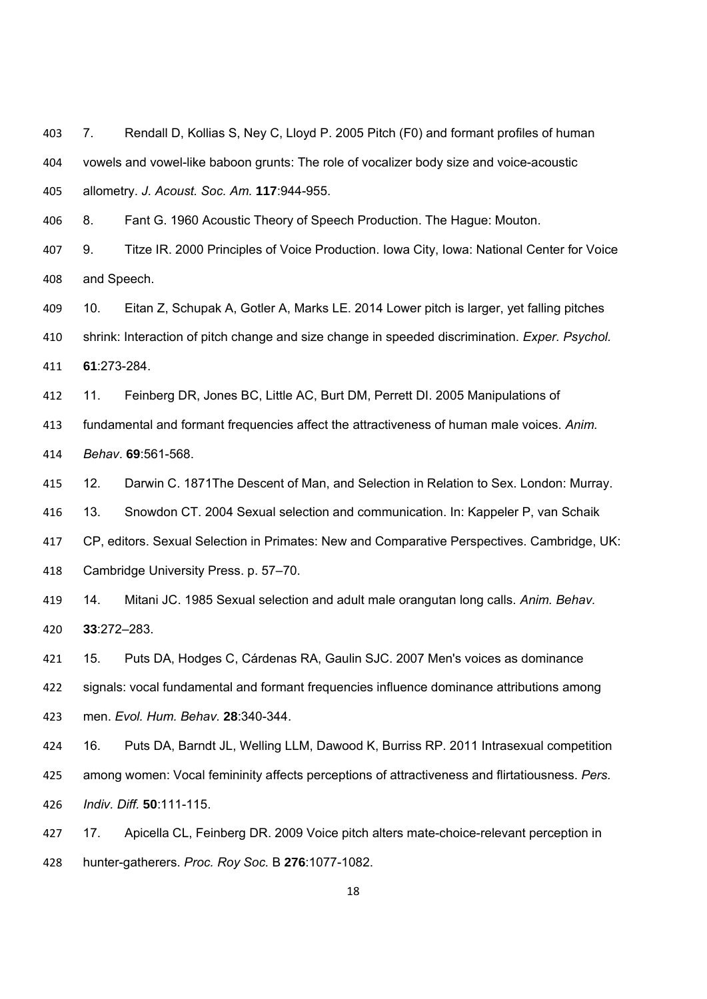7. Rendall D, Kollias S, Ney C, Lloyd P. 2005 Pitch (F0) and formant profiles of human vowels and vowel-like baboon grunts: The role of vocalizer body size and voice-acoustic allometry. *J. Acoust. Soc. Am.* **117**:944-955.

8. Fant G. 1960 Acoustic Theory of Speech Production. The Hague: Mouton.

 9. Titze IR. 2000 Principles of Voice Production. Iowa City, Iowa: National Center for Voice and Speech.

 10. Eitan Z, Schupak A, Gotler A, Marks LE. 2014 Lower pitch is larger, yet falling pitches shrink: Interaction of pitch change and size change in speeded discrimination. *Exper. Psychol.*

**61**:273-284.

11. Feinberg DR, Jones BC, Little AC, Burt DM, Perrett DI. 2005 Manipulations of

fundamental and formant frequencies affect the attractiveness of human male voices. *Anim.* 

*Behav*. **69**:561-568.

12. Darwin C. 1871The Descent of Man, and Selection in Relation to Sex. London: Murray.

13. Snowdon CT. 2004 Sexual selection and communication. In: Kappeler P, van Schaik

CP, editors. Sexual Selection in Primates: New and Comparative Perspectives. Cambridge, UK:

Cambridge University Press. p. 57–70.

 14. Mitani JC. 1985 Sexual selection and adult male orangutan long calls. *Anim. Behav.* **33**:272–283.

 15. Puts DA, Hodges C, Cárdenas RA, Gaulin SJC. 2007 Men's voices as dominance signals: vocal fundamental and formant frequencies influence dominance attributions among

men. *Evol. Hum. Behav.* **28**:340-344.

 16. Puts DA, Barndt JL, Welling LLM, Dawood K, Burriss RP. 2011 Intrasexual competition among women: Vocal femininity affects perceptions of attractiveness and flirtatiousness. *Pers. Indiv. Diff.* **50**:111-115.

 17. Apicella CL, Feinberg DR. 2009 Voice pitch alters mate-choice-relevant perception in hunter-gatherers. *Proc. Roy Soc.* B **276**:1077-1082.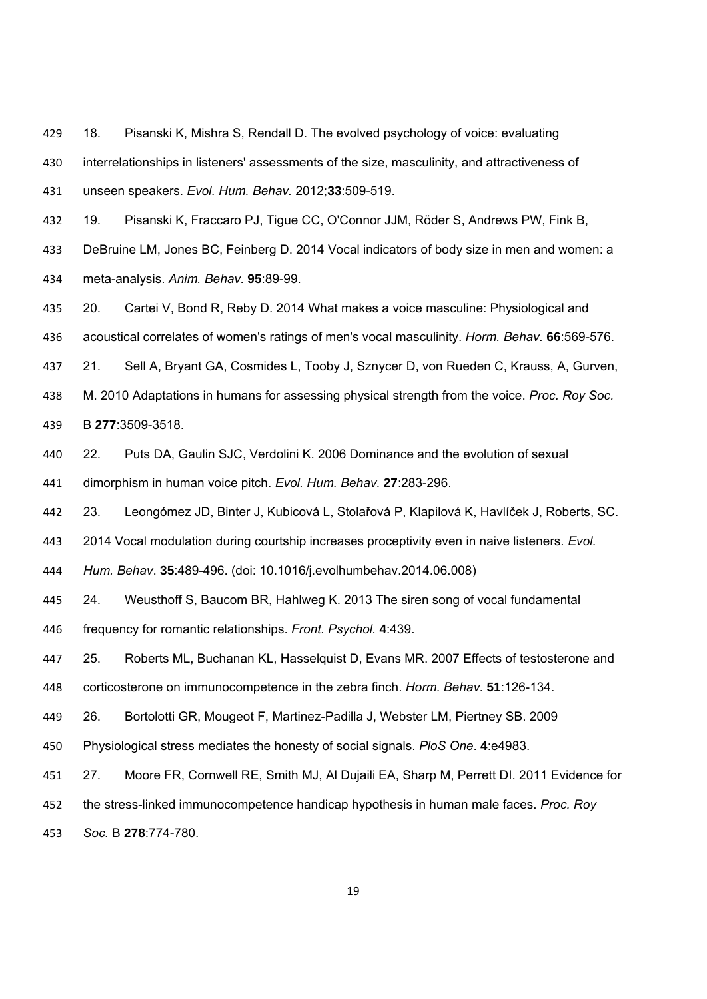18. Pisanski K, Mishra S, Rendall D. The evolved psychology of voice: evaluating interrelationships in listeners' assessments of the size, masculinity, and attractiveness of unseen speakers. *Evol. Hum. Behav.* 2012;**33**:509-519.

 19. Pisanski K, Fraccaro PJ, Tigue CC, O'Connor JJM, Röder S, Andrews PW, Fink B, DeBruine LM, Jones BC, Feinberg D. 2014 Vocal indicators of body size in men and women: a meta-analysis. *Anim. Behav.* **95**:89-99.

 20. Cartei V, Bond R, Reby D. 2014 What makes a voice masculine: Physiological and acoustical correlates of women's ratings of men's vocal masculinity. *Horm. Behav.* **66**:569-576.

21. Sell A, Bryant GA, Cosmides L, Tooby J, Sznycer D, von Rueden C, Krauss, A, Gurven,

 M. 2010 Adaptations in humans for assessing physical strength from the voice. *Proc. Roy Soc.*  B **277**:3509-3518.

22. Puts DA, Gaulin SJC, Verdolini K. 2006 Dominance and the evolution of sexual

dimorphism in human voice pitch. *Evol. Hum. Behav.* **27**:283-296.

23. Leongómez JD, Binter J, Kubicová L, Stolařová P, Klapilová K, Havlíček J, Roberts, SC.

2014 Vocal modulation during courtship increases proceptivity even in naive listeners. *Evol.* 

*Hum. Behav*. **35**:489-496. (doi: 10.1016/j.evolhumbehav.2014.06.008)

24. Weusthoff S, Baucom BR, Hahlweg K. 2013 The siren song of vocal fundamental

frequency for romantic relationships. *Front. Psychol.* **4**:439.

25. Roberts ML, Buchanan KL, Hasselquist D, Evans MR. 2007 Effects of testosterone and

corticosterone on immunocompetence in the zebra finch. *Horm. Behav.* **51**:126-134.

26. Bortolotti GR, Mougeot F, Martinez-Padilla J, Webster LM, Piertney SB. 2009

Physiological stress mediates the honesty of social signals. *PloS One*. **4**:e4983.

27. Moore FR, Cornwell RE, Smith MJ, Al Dujaili EA, Sharp M, Perrett DI. 2011 Evidence for

the stress-linked immunocompetence handicap hypothesis in human male faces. *Proc. Roy* 

*Soc.* B **278**:774-780.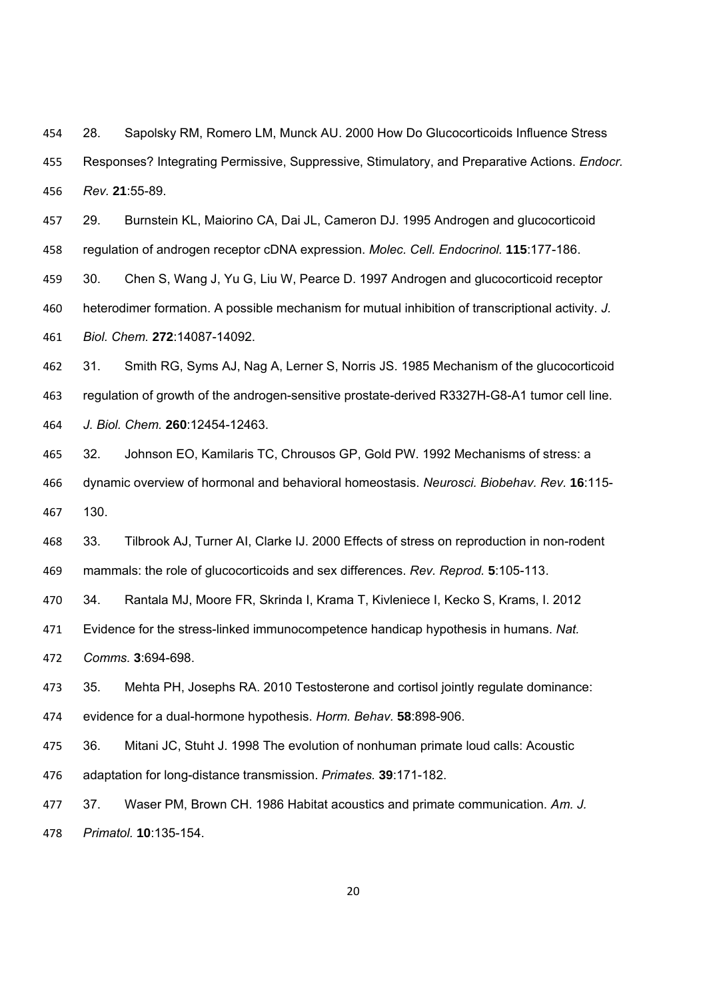28. Sapolsky RM, Romero LM, Munck AU. 2000 How Do Glucocorticoids Influence Stress Responses? Integrating Permissive, Suppressive, Stimulatory, and Preparative Actions. *Endocr. Rev.* **21**:55-89.

 29. Burnstein KL, Maiorino CA, Dai JL, Cameron DJ. 1995 Androgen and glucocorticoid regulation of androgen receptor cDNA expression. *Molec. Cell. Endocrinol.* **115**:177-186.

 30. Chen S, Wang J, Yu G, Liu W, Pearce D. 1997 Androgen and glucocorticoid receptor heterodimer formation. A possible mechanism for mutual inhibition of transcriptional activity. *J. Biol. Chem.* **272**:14087-14092.

 31. Smith RG, Syms AJ, Nag A, Lerner S, Norris JS. 1985 Mechanism of the glucocorticoid regulation of growth of the androgen-sensitive prostate-derived R3327H-G8-A1 tumor cell line. *J. Biol. Chem.* **260**:12454-12463.

 32. Johnson EO, Kamilaris TC, Chrousos GP, Gold PW. 1992 Mechanisms of stress: a dynamic overview of hormonal and behavioral homeostasis. *Neurosci. Biobehav. Rev.* **16**:115- 130.

 33. Tilbrook AJ, Turner AI, Clarke IJ. 2000 Effects of stress on reproduction in non-rodent mammals: the role of glucocorticoids and sex differences. *Rev. Reprod.* **5**:105-113.

34. Rantala MJ, Moore FR, Skrinda I, Krama T, Kivleniece I, Kecko S, Krams, I. 2012

Evidence for the stress-linked immunocompetence handicap hypothesis in humans. *Nat.* 

*Comms.* **3**:694-698.

 35. Mehta PH, Josephs RA. 2010 Testosterone and cortisol jointly regulate dominance: evidence for a dual-hormone hypothesis. *Horm. Behav.* **58**:898-906.

 36. Mitani JC, Stuht J. 1998 The evolution of nonhuman primate loud calls: Acoustic adaptation for long-distance transmission. *Primates.* **39**:171-182.

 37. Waser PM, Brown CH. 1986 Habitat acoustics and primate communication. *Am. J. Primatol.* **10**:135-154.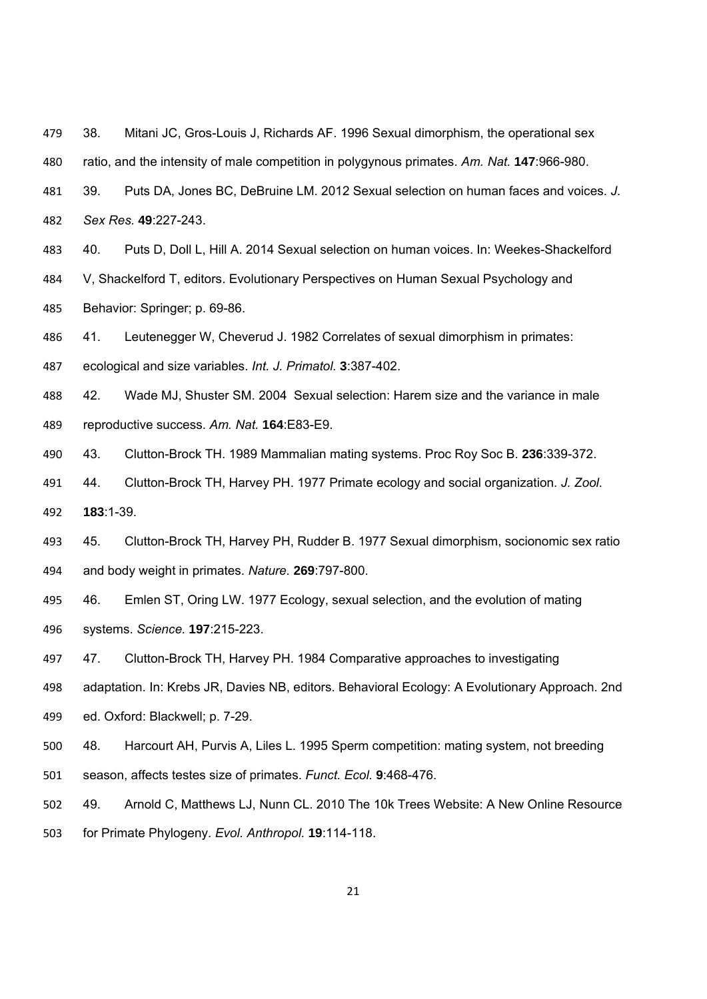- 38. Mitani JC, Gros-Louis J, Richards AF. 1996 Sexual dimorphism, the operational sex
- ratio, and the intensity of male competition in polygynous primates. *Am. Nat.* **147**:966-980.
- 39. Puts DA, Jones BC, DeBruine LM. 2012 Sexual selection on human faces and voices. *J. Sex Res.* **49**:227-243.
- 40. Puts D, Doll L, Hill A. 2014 Sexual selection on human voices. In: Weekes-Shackelford
- V, Shackelford T, editors. Evolutionary Perspectives on Human Sexual Psychology and
- Behavior: Springer; p. 69-86.
- 41. Leutenegger W, Cheverud J. 1982 Correlates of sexual dimorphism in primates:
- ecological and size variables. *Int. J. Primatol.* **3**:387-402.
- 42. Wade MJ, Shuster SM. 2004 Sexual selection: Harem size and the variance in male reproductive success. *Am. Nat.* **164**:E83-E9.
- 43. Clutton-Brock TH. 1989 Mammalian mating systems. Proc Roy Soc B. **236**:339-372.
- 44. Clutton-Brock TH, Harvey PH. 1977 Primate ecology and social organization. *J. Zool.*  **183**:1-39.
- 45. Clutton-Brock TH, Harvey PH, Rudder B. 1977 Sexual dimorphism, socionomic sex ratio and body weight in primates. *Nature.* **269**:797-800.
- 46. Emlen ST, Oring LW. 1977 Ecology, sexual selection, and the evolution of mating systems. *Science.* **197**:215-223.
- 47. Clutton-Brock TH, Harvey PH. 1984 Comparative approaches to investigating
- adaptation. In: Krebs JR, Davies NB, editors. Behavioral Ecology: A Evolutionary Approach. 2nd
- ed. Oxford: Blackwell; p. 7-29.
- 48. Harcourt AH, Purvis A, Liles L. 1995 Sperm competition: mating system, not breeding
- season, affects testes size of primates. *Funct. Ecol.* **9**:468-476.
- 49. Arnold C, Matthews LJ, Nunn CL. 2010 The 10k Trees Website: A New Online Resource
- for Primate Phylogeny. *Evol. Anthropol.* **19**:114-118.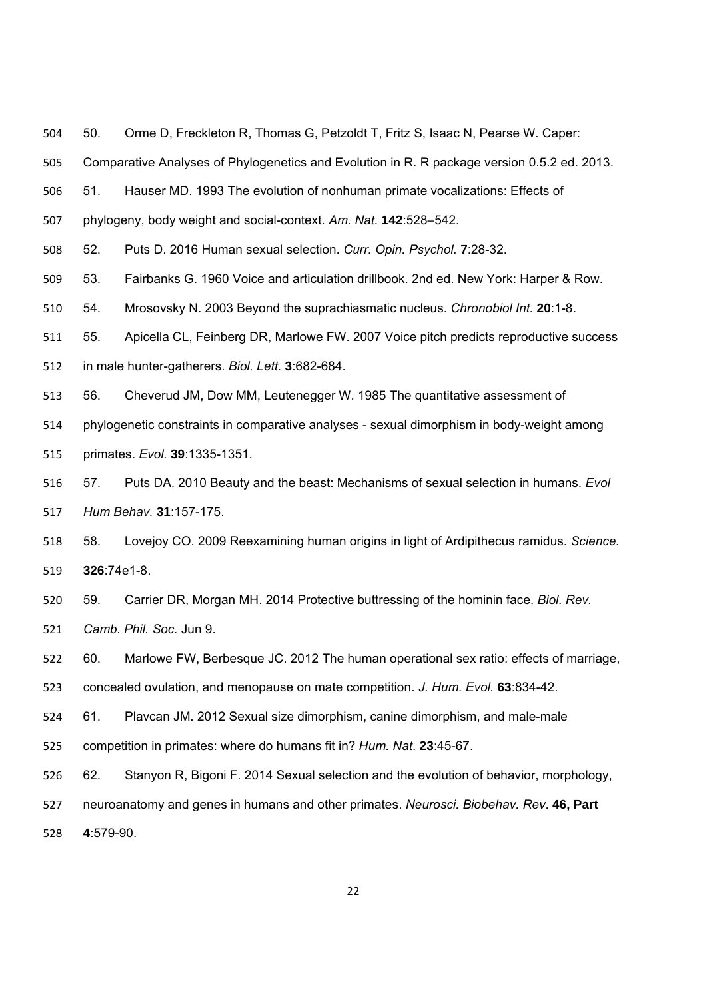50. Orme D, Freckleton R, Thomas G, Petzoldt T, Fritz S, Isaac N, Pearse W. Caper:

Comparative Analyses of Phylogenetics and Evolution in R. R package version 0.5.2 ed. 2013.

51. Hauser MD. 1993 The evolution of nonhuman primate vocalizations: Effects of

phylogeny, body weight and social-context. *Am. Nat.* **142**:528–542.

52. Puts D. 2016 Human sexual selection. *Curr. Opin. Psychol.* **7**:28-32.

53. Fairbanks G. 1960 Voice and articulation drillbook. 2nd ed. New York: Harper & Row.

54. Mrosovsky N. 2003 Beyond the suprachiasmatic nucleus. *Chronobiol Int.* **20**:1-8.

55. Apicella CL, Feinberg DR, Marlowe FW. 2007 Voice pitch predicts reproductive success

in male hunter-gatherers. *Biol. Lett.* **3**:682-684.

56. Cheverud JM, Dow MM, Leutenegger W. 1985 The quantitative assessment of

phylogenetic constraints in comparative analyses - sexual dimorphism in body-weight among

primates. *Evol.* **39**:1335-1351.

 57. Puts DA. 2010 Beauty and the beast: Mechanisms of sexual selection in humans. *Evol Hum Behav.* **31**:157-175.

 58. Lovejoy CO. 2009 Reexamining human origins in light of Ardipithecus ramidus. *Science.*  **326**:74e1-8.

 59. Carrier DR, Morgan MH. 2014 Protective buttressing of the hominin face. *Biol. Rev. Camb. Phil. Soc.* Jun 9.

60. Marlowe FW, Berbesque JC. 2012 The human operational sex ratio: effects of marriage,

concealed ovulation, and menopause on mate competition. *J. Hum. Evol.* **63**:834-42.

61. Plavcan JM. 2012 Sexual size dimorphism, canine dimorphism, and male-male

competition in primates: where do humans fit in? *Hum. Nat*. **23**:45-67.

62. Stanyon R, Bigoni F. 2014 Sexual selection and the evolution of behavior, morphology,

neuroanatomy and genes in humans and other primates. *Neurosci. Biobehav. Rev*. **46, Part** 

**4**:579-90.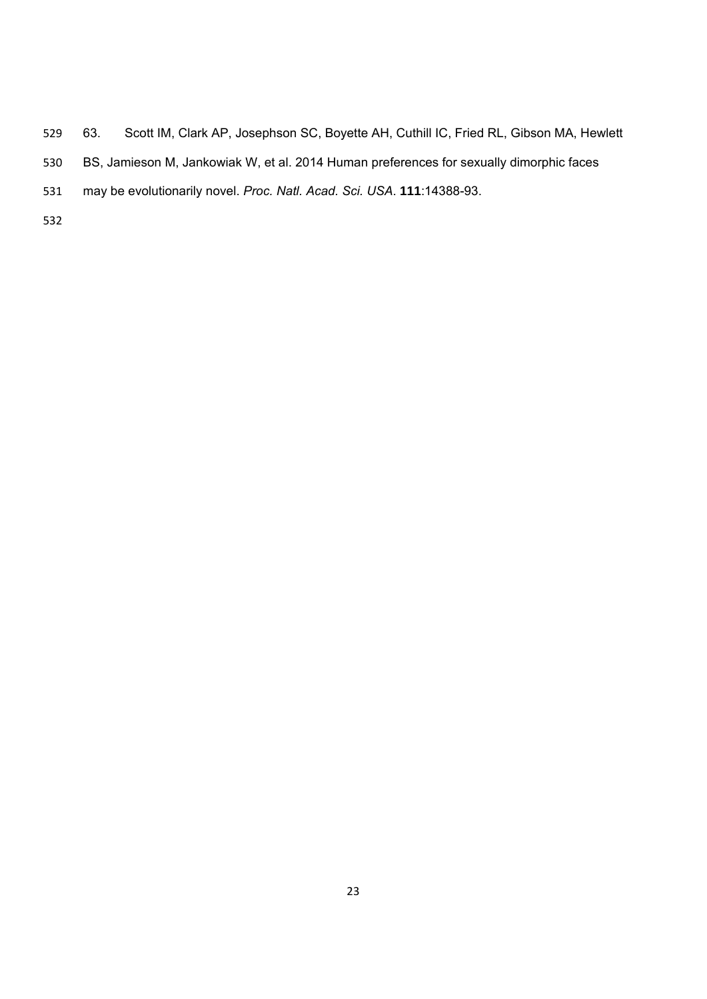- 63. Scott IM, Clark AP, Josephson SC, Boyette AH, Cuthill IC, Fried RL, Gibson MA, Hewlett BS, Jamieson M, Jankowiak W, et al. 2014 Human preferences for sexually dimorphic faces may be evolutionarily novel. *Proc. Natl. Acad. Sci. USA*. **111**:14388-93.
-